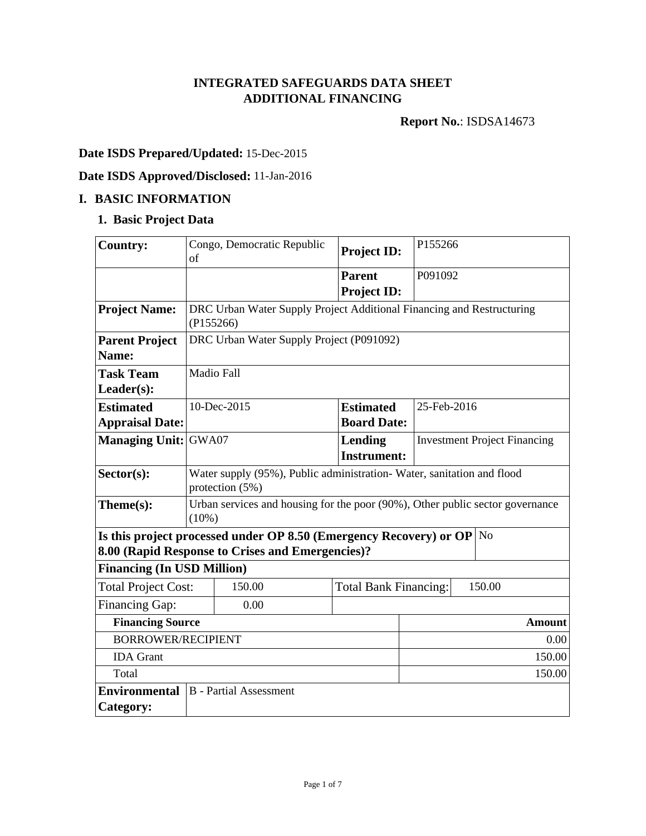### **INTEGRATED SAFEGUARDS DATA SHEET ADDITIONAL FINANCING**

**Report No.**: ISDSA14673

# **Date ISDS Prepared/Updated:** 15-Dec-2015

# **Date ISDS Approved/Disclosed:** 11-Jan-2016

### **I. BASIC INFORMATION**

### **1. Basic Project Data**

| <b>Country:</b>                   | of                                                                                       | Congo, Democratic Republic                                                    | <b>Project ID:</b>            | P155266                             |               |
|-----------------------------------|------------------------------------------------------------------------------------------|-------------------------------------------------------------------------------|-------------------------------|-------------------------------------|---------------|
|                                   |                                                                                          |                                                                               | <b>Parent</b>                 | P091092                             |               |
|                                   |                                                                                          |                                                                               | <b>Project ID:</b>            |                                     |               |
| <b>Project Name:</b>              | (P155266)                                                                                | DRC Urban Water Supply Project Additional Financing and Restructuring         |                               |                                     |               |
| <b>Parent Project</b>             |                                                                                          | DRC Urban Water Supply Project (P091092)                                      |                               |                                     |               |
| Name:                             |                                                                                          |                                                                               |                               |                                     |               |
| <b>Task Team</b>                  | <b>Madio Fall</b>                                                                        |                                                                               |                               |                                     |               |
| $Leader(s)$ :                     |                                                                                          |                                                                               |                               |                                     |               |
| <b>Estimated</b>                  |                                                                                          | 10-Dec-2015                                                                   | <b>Estimated</b>              | 25-Feb-2016                         |               |
| <b>Appraisal Date:</b>            |                                                                                          |                                                                               | <b>Board Date:</b>            |                                     |               |
| <b>Managing Unit: GWA07</b>       |                                                                                          |                                                                               | Lending<br><b>Instrument:</b> | <b>Investment Project Financing</b> |               |
| $Sector(s)$ :                     | Water supply (95%), Public administration-Water, sanitation and flood<br>protection (5%) |                                                                               |                               |                                     |               |
| Theme(s):                         | Urban services and housing for the poor (90%), Other public sector governance<br>(10%)   |                                                                               |                               |                                     |               |
|                                   |                                                                                          | Is this project processed under OP 8.50 (Emergency Recovery) or OP $\vert$ No |                               |                                     |               |
|                                   |                                                                                          | 8.00 (Rapid Response to Crises and Emergencies)?                              |                               |                                     |               |
| <b>Financing (In USD Million)</b> |                                                                                          |                                                                               |                               |                                     |               |
| <b>Total Project Cost:</b>        |                                                                                          | 150.00                                                                        | <b>Total Bank Financing:</b>  |                                     | 150.00        |
| Financing Gap:                    |                                                                                          | 0.00                                                                          |                               |                                     |               |
| <b>Financing Source</b>           |                                                                                          |                                                                               |                               |                                     | <b>Amount</b> |
| <b>BORROWER/RECIPIENT</b>         |                                                                                          |                                                                               |                               |                                     | 0.00          |
| <b>IDA</b> Grant                  |                                                                                          |                                                                               |                               |                                     | 150.00        |
| Total                             |                                                                                          |                                                                               |                               | 150.00                              |               |
| <b>Environmental</b>              |                                                                                          | <b>B</b> - Partial Assessment                                                 |                               |                                     |               |
| Category:                         |                                                                                          |                                                                               |                               |                                     |               |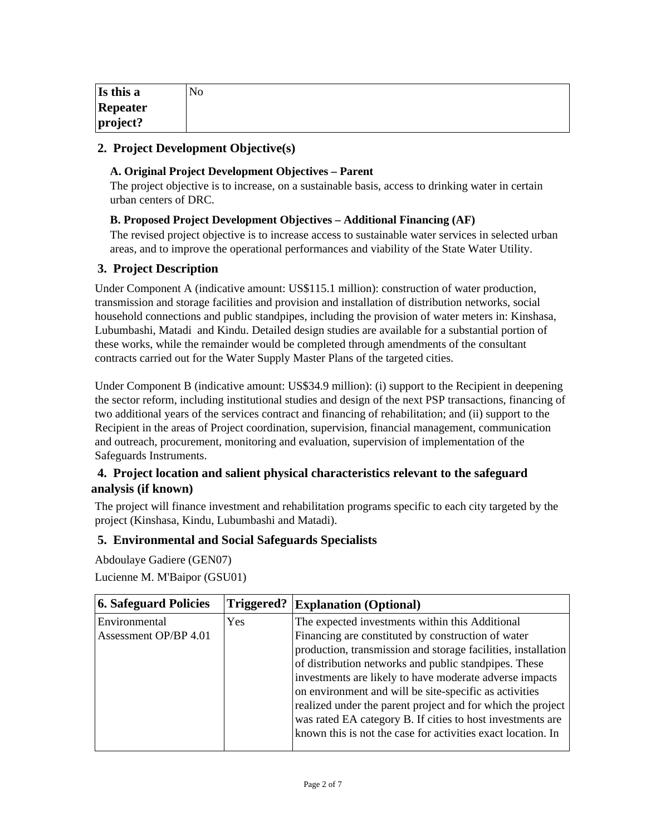| Is this a | No |
|-----------|----|
| Repeater  |    |
| project?  |    |

### **2. Project Development Objective(s)**

### **A. Original Project Development Objectives – Parent**

The project objective is to increase, on a sustainable basis, access to drinking water in certain urban centers of DRC.

#### **B. Proposed Project Development Objectives – Additional Financing (AF)**

The revised project objective is to increase access to sustainable water services in selected urban areas, and to improve the operational performances and viability of the State Water Utility.

### **3. Project Description**

Under Component A (indicative amount: US\$115.1 million): construction of water production, transmission and storage facilities and provision and installation of distribution networks, social household connections and public standpipes, including the provision of water meters in: Kinshasa, Lubumbashi, Matadi and Kindu. Detailed design studies are available for a substantial portion of these works, while the remainder would be completed through amendments of the consultant contracts carried out for the Water Supply Master Plans of the targeted cities.

Under Component B (indicative amount: US\$34.9 million): (i) support to the Recipient in deepening the sector reform, including institutional studies and design of the next PSP transactions, financing of two additional years of the services contract and financing of rehabilitation; and (ii) support to the Recipient in the areas of Project coordination, supervision, financial management, communication and outreach, procurement, monitoring and evaluation, supervision of implementation of the Safeguards Instruments.

### **4. Project location and salient physical characteristics relevant to the safeguard analysis (if known)**

The project will finance investment and rehabilitation programs specific to each city targeted by the project (Kinshasa, Kindu, Lubumbashi and Matadi).

### **5. Environmental and Social Safeguards Specialists**

Abdoulaye Gadiere (GEN07) Lucienne M. M'Baipor (GSU01)

| 6. Safeguard Policies | Triggered? | <b>Explanation (Optional)</b>                                 |
|-----------------------|------------|---------------------------------------------------------------|
| Environmental         | Yes        | The expected investments within this Additional               |
| Assessment OP/BP 4.01 |            | Financing are constituted by construction of water            |
|                       |            | production, transmission and storage facilities, installation |
|                       |            | of distribution networks and public standpipes. These         |
|                       |            | investments are likely to have moderate adverse impacts       |
|                       |            | on environment and will be site-specific as activities        |
|                       |            | realized under the parent project and for which the project   |
|                       |            | was rated EA category B. If cities to host investments are    |
|                       |            | known this is not the case for activities exact location. In  |
|                       |            |                                                               |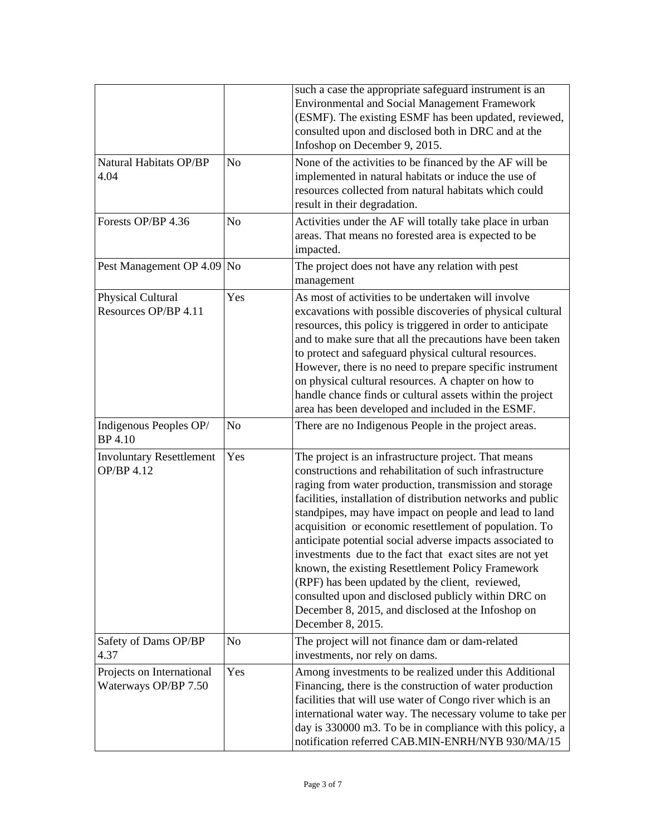|                                                   |                | such a case the appropriate safeguard instrument is an<br><b>Environmental and Social Management Framework</b><br>(ESMF). The existing ESMF has been updated, reviewed,<br>consulted upon and disclosed both in DRC and at the<br>Infoshop on December 9, 2015.                                                                                                                                                                                                                                                                                                                                                                                                                                                                  |  |
|---------------------------------------------------|----------------|----------------------------------------------------------------------------------------------------------------------------------------------------------------------------------------------------------------------------------------------------------------------------------------------------------------------------------------------------------------------------------------------------------------------------------------------------------------------------------------------------------------------------------------------------------------------------------------------------------------------------------------------------------------------------------------------------------------------------------|--|
| Natural Habitats OP/BP<br>4.04                    | N <sub>o</sub> | None of the activities to be financed by the AF will be<br>implemented in natural habitats or induce the use of<br>resources collected from natural habitats which could<br>result in their degradation.                                                                                                                                                                                                                                                                                                                                                                                                                                                                                                                         |  |
| Forests OP/BP 4.36                                | No             | Activities under the AF will totally take place in urban<br>areas. That means no forested area is expected to be<br>impacted.                                                                                                                                                                                                                                                                                                                                                                                                                                                                                                                                                                                                    |  |
| Pest Management OP 4.09 No                        |                | The project does not have any relation with pest<br>management                                                                                                                                                                                                                                                                                                                                                                                                                                                                                                                                                                                                                                                                   |  |
| Physical Cultural<br>Resources OP/BP 4.11         | Yes            | As most of activities to be undertaken will involve<br>excavations with possible discoveries of physical cultural<br>resources, this policy is triggered in order to anticipate<br>and to make sure that all the precautions have been taken<br>to protect and safeguard physical cultural resources.<br>However, there is no need to prepare specific instrument<br>on physical cultural resources. A chapter on how to<br>handle chance finds or cultural assets within the project<br>area has been developed and included in the ESMF.                                                                                                                                                                                       |  |
| Indigenous Peoples OP/<br>BP 4.10                 | No             | There are no Indigenous People in the project areas.                                                                                                                                                                                                                                                                                                                                                                                                                                                                                                                                                                                                                                                                             |  |
| <b>Involuntary Resettlement</b><br>OP/BP 4.12     | Yes            | The project is an infrastructure project. That means<br>constructions and rehabilitation of such infrastructure<br>raging from water production, transmission and storage<br>facilities, installation of distribution networks and public<br>standpipes, may have impact on people and lead to land<br>acquisition or economic resettlement of population. To<br>anticipate potential social adverse impacts associated to<br>investments due to the fact that exact sites are not yet<br>known, the existing Resettlement Policy Framework<br>(RPF) has been updated by the client, reviewed,<br>consulted upon and disclosed publicly within DRC on<br>December 8, 2015, and disclosed at the Infoshop on<br>December 8, 2015. |  |
| Safety of Dams OP/BP<br>4.37                      | No             | The project will not finance dam or dam-related<br>investments, nor rely on dams.                                                                                                                                                                                                                                                                                                                                                                                                                                                                                                                                                                                                                                                |  |
| Projects on International<br>Waterways OP/BP 7.50 | Yes            | Among investments to be realized under this Additional<br>Financing, there is the construction of water production<br>facilities that will use water of Congo river which is an<br>international water way. The necessary volume to take per<br>day is 330000 m3. To be in compliance with this policy, a<br>notification referred CAB.MIN-ENRH/NYB 930/MA/15                                                                                                                                                                                                                                                                                                                                                                    |  |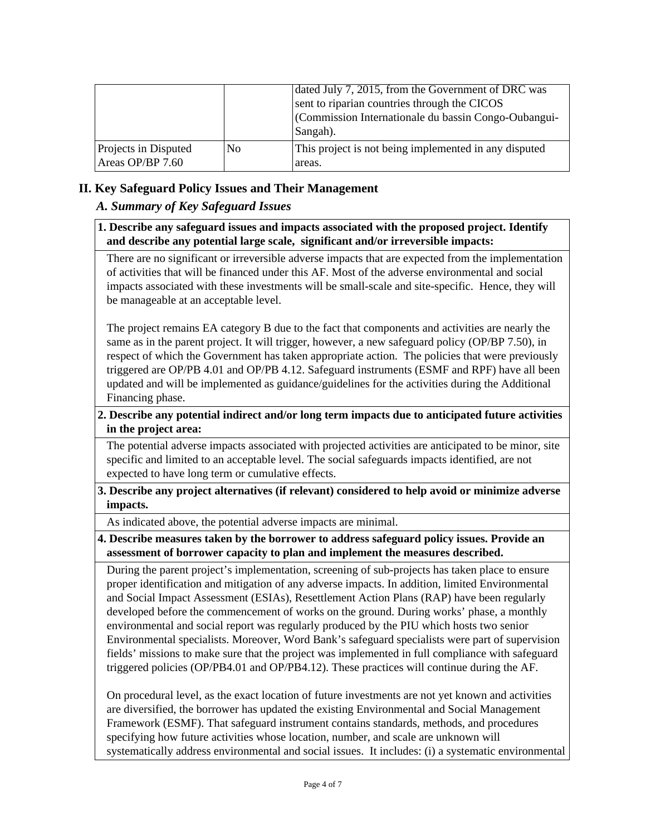|                                          |                | dated July 7, 2015, from the Government of DRC was<br>sent to riparian countries through the CICOS<br>(Commission Internationale du bassin Congo-Oubangui-<br>Sangah). |
|------------------------------------------|----------------|------------------------------------------------------------------------------------------------------------------------------------------------------------------------|
| Projects in Disputed<br>Areas OP/BP 7.60 | N <sub>0</sub> | This project is not being implemented in any disputed<br>areas.                                                                                                        |

### **II. Key Safeguard Policy Issues and Their Management**

### *A. Summary of Key Safeguard Issues*

### **1. Describe any safeguard issues and impacts associated with the proposed project. Identify and describe any potential large scale, significant and/or irreversible impacts:**

There are no significant or irreversible adverse impacts that are expected from the implementation of activities that will be financed under this AF. Most of the adverse environmental and social impacts associated with these investments will be small-scale and site-specific. Hence, they will be manageable at an acceptable level.

The project remains EA category B due to the fact that components and activities are nearly the same as in the parent project. It will trigger, however, a new safeguard policy (OP/BP 7.50), in respect of which the Government has taken appropriate action. The policies that were previously triggered are OP/PB 4.01 and OP/PB 4.12. Safeguard instruments (ESMF and RPF) have all been updated and will be implemented as guidance/guidelines for the activities during the Additional Financing phase.

### **2. Describe any potential indirect and/or long term impacts due to anticipated future activities in the project area:**

The potential adverse impacts associated with projected activities are anticipated to be minor, site specific and limited to an acceptable level. The social safeguards impacts identified, are not expected to have long term or cumulative effects.

#### **3. Describe any project alternatives (if relevant) considered to help avoid or minimize adverse impacts.**

As indicated above, the potential adverse impacts are minimal.

#### **4. Describe measures taken by the borrower to address safeguard policy issues. Provide an assessment of borrower capacity to plan and implement the measures described.**

During the parent project's implementation, screening of sub-projects has taken place to ensure proper identification and mitigation of any adverse impacts. In addition, limited Environmental and Social Impact Assessment (ESIAs), Resettlement Action Plans (RAP) have been regularly developed before the commencement of works on the ground. During works' phase, a monthly environmental and social report was regularly produced by the PIU which hosts two senior Environmental specialists. Moreover, Word Bank's safeguard specialists were part of supervision fields' missions to make sure that the project was implemented in full compliance with safeguard triggered policies (OP/PB4.01 and OP/PB4.12). These practices will continue during the AF.

On procedural level, as the exact location of future investments are not yet known and activities are diversified, the borrower has updated the existing Environmental and Social Management Framework (ESMF). That safeguard instrument contains standards, methods, and procedures specifying how future activities whose location, number, and scale are unknown will systematically address environmental and social issues. It includes: (i) a systematic environmental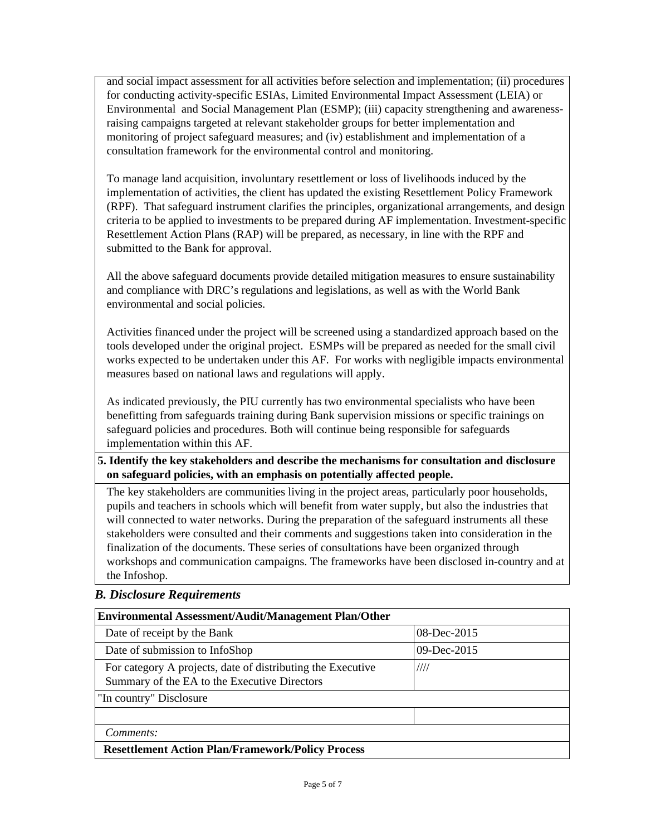and social impact assessment for all activities before selection and implementation; (ii) procedures for conducting activity-specific ESIAs, Limited Environmental Impact Assessment (LEIA) or Environmental and Social Management Plan (ESMP); (iii) capacity strengthening and awarenessraising campaigns targeted at relevant stakeholder groups for better implementation and monitoring of project safeguard measures; and (iv) establishment and implementation of a consultation framework for the environmental control and monitoring.

To manage land acquisition, involuntary resettlement or loss of livelihoods induced by the implementation of activities, the client has updated the existing Resettlement Policy Framework (RPF). That safeguard instrument clarifies the principles, organizational arrangements, and design criteria to be applied to investments to be prepared during AF implementation. Investment-specific Resettlement Action Plans (RAP) will be prepared, as necessary, in line with the RPF and submitted to the Bank for approval.

All the above safeguard documents provide detailed mitigation measures to ensure sustainability and compliance with DRC's regulations and legislations, as well as with the World Bank environmental and social policies.

Activities financed under the project will be screened using a standardized approach based on the tools developed under the original project. ESMPs will be prepared as needed for the small civil works expected to be undertaken under this AF. For works with negligible impacts environmental measures based on national laws and regulations will apply.

As indicated previously, the PIU currently has two environmental specialists who have been benefitting from safeguards training during Bank supervision missions or specific trainings on safeguard policies and procedures. Both will continue being responsible for safeguards implementation within this AF.

### **5. Identify the key stakeholders and describe the mechanisms for consultation and disclosure on safeguard policies, with an emphasis on potentially affected people.**

The key stakeholders are communities living in the project areas, particularly poor households, pupils and teachers in schools which will benefit from water supply, but also the industries that will connected to water networks. During the preparation of the safeguard instruments all these stakeholders were consulted and their comments and suggestions taken into consideration in the finalization of the documents. These series of consultations have been organized through workshops and communication campaigns. The frameworks have been disclosed in-country and at the Infoshop.

### *B. Disclosure Requirements*

| <b>Environmental Assessment/Audit/Management Plan/Other</b>                                                         |             |  |  |
|---------------------------------------------------------------------------------------------------------------------|-------------|--|--|
| Date of receipt by the Bank                                                                                         | 08-Dec-2015 |  |  |
| Date of submission to InfoShop                                                                                      | 09-Dec-2015 |  |  |
| For category A projects, date of distributing the Executive<br>////<br>Summary of the EA to the Executive Directors |             |  |  |
| "In country" Disclosure                                                                                             |             |  |  |
|                                                                                                                     |             |  |  |
| Comments:                                                                                                           |             |  |  |
| <b>Resettlement Action Plan/Framework/Policy Process</b>                                                            |             |  |  |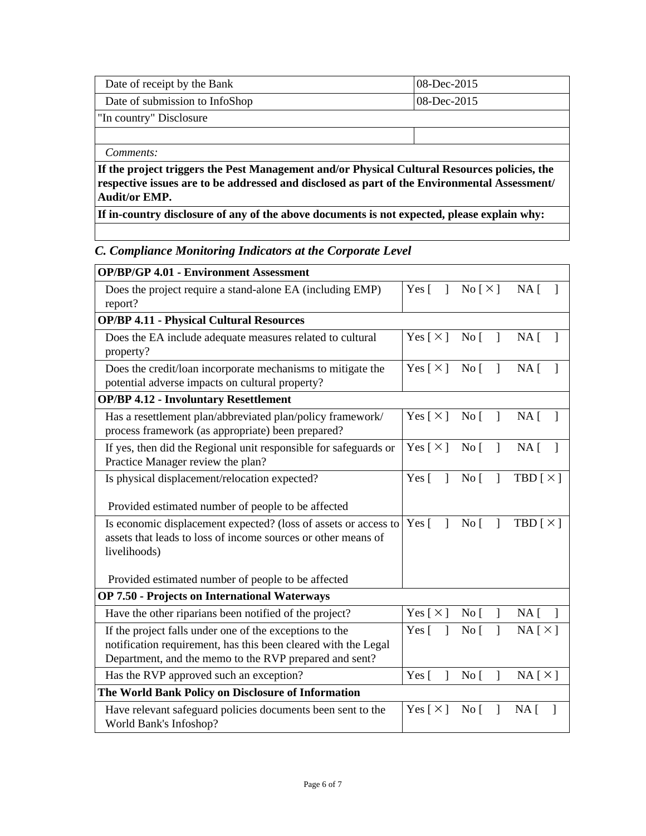| Date of receipt by the Bank                                                                                                                                                                  | $08$ -Dec-2015 |  |
|----------------------------------------------------------------------------------------------------------------------------------------------------------------------------------------------|----------------|--|
| Date of submission to InfoShop                                                                                                                                                               | 08-Dec-2015    |  |
| "In country" Disclosure                                                                                                                                                                      |                |  |
|                                                                                                                                                                                              |                |  |
| Comments:                                                                                                                                                                                    |                |  |
| If the project triggers the Pest Management and/or Physical Cultural Resources policies, the<br>respective issues are to be addressed and disclosed as part of the Environmental Assessment/ |                |  |

**Audit/or EMP.**

**If in-country disclosure of any of the above documents is not expected, please explain why:**

# *C. Compliance Monitoring Indicators at the Corporate Level*

| <b>OP/BP/GP 4.01 - Environment Assessment</b>                                                                                                                                       |                              |                                                                                                     |                            |
|-------------------------------------------------------------------------------------------------------------------------------------------------------------------------------------|------------------------------|-----------------------------------------------------------------------------------------------------|----------------------------|
| Does the project require a stand-alone EA (including EMP)<br>report?                                                                                                                |                              | Yes $\begin{bmatrix} 1 & \text{No } \begin{bmatrix} \times \end{bmatrix} & \text{NA} \end{bmatrix}$ |                            |
| <b>OP/BP 4.11 - Physical Cultural Resources</b>                                                                                                                                     |                              |                                                                                                     |                            |
| Does the EA include adequate measures related to cultural<br>property?                                                                                                              | Yes $\lceil \times \rceil$   | $\overline{N}$ o<br>$\mathbf{I}$                                                                    | NA <sub>1</sub>            |
| Does the credit/loan incorporate mechanisms to mitigate the<br>potential adverse impacts on cultural property?                                                                      | Yes $\lceil \times \rceil$   | No <sub>1</sub><br>$\mathbf{1}$                                                                     | NA [                       |
| <b>OP/BP 4.12 - Involuntary Resettlement</b>                                                                                                                                        |                              |                                                                                                     |                            |
| Has a resettlement plan/abbreviated plan/policy framework/<br>process framework (as appropriate) been prepared?                                                                     | Yes $[\times]$               | $\overline{N}$ o<br>$\overline{1}$                                                                  | NA <sub>1</sub>            |
| If yes, then did the Regional unit responsible for safeguards or<br>Practice Manager review the plan?                                                                               | Yes $[\times]$               | $\overline{N}$ o<br>$\mathbf{I}$                                                                    | $NA \lceil$                |
| Is physical displacement/relocation expected?                                                                                                                                       | Yes $\lceil$<br>$\mathbf{1}$ | $\overline{N}$ o<br>$\mathbf{I}$                                                                    | TBD $\lceil \times \rceil$ |
| Provided estimated number of people to be affected                                                                                                                                  |                              |                                                                                                     |                            |
| Is economic displacement expected? (loss of assets or access to<br>assets that leads to loss of income sources or other means of<br>livelihoods)                                    | Yes $\lceil$<br>$\mathbf{1}$ | No <sub>1</sub><br>$\mathbf{I}$                                                                     | TBD $\lceil \times \rceil$ |
| Provided estimated number of people to be affected                                                                                                                                  |                              |                                                                                                     |                            |
| <b>OP 7.50 - Projects on International Waterways</b>                                                                                                                                |                              |                                                                                                     |                            |
| Have the other riparians been notified of the project?                                                                                                                              | Yes $\lceil \times \rceil$   | $\overline{N}$ o<br>$\mathbf{I}$                                                                    | $NA$ [ ]                   |
| If the project falls under one of the exceptions to the<br>notification requirement, has this been cleared with the Legal<br>Department, and the memo to the RVP prepared and sent? | Yes $\lceil$<br>$\mathbf{I}$ | No <sub>[</sub><br>1                                                                                | NA[X]                      |
| Has the RVP approved such an exception?                                                                                                                                             | Yes $\lceil$<br>$\mathbf{I}$ | No <sub>1</sub><br>$\mathbf{I}$                                                                     | NA[X]                      |
| The World Bank Policy on Disclosure of Information                                                                                                                                  |                              |                                                                                                     |                            |
| Have relevant safeguard policies documents been sent to the<br>World Bank's Infoshop?                                                                                               | Yes $\lceil \times \rceil$   | No <sub>1</sub><br>$\mathbf{I}$                                                                     | NA <sub>1</sub>            |